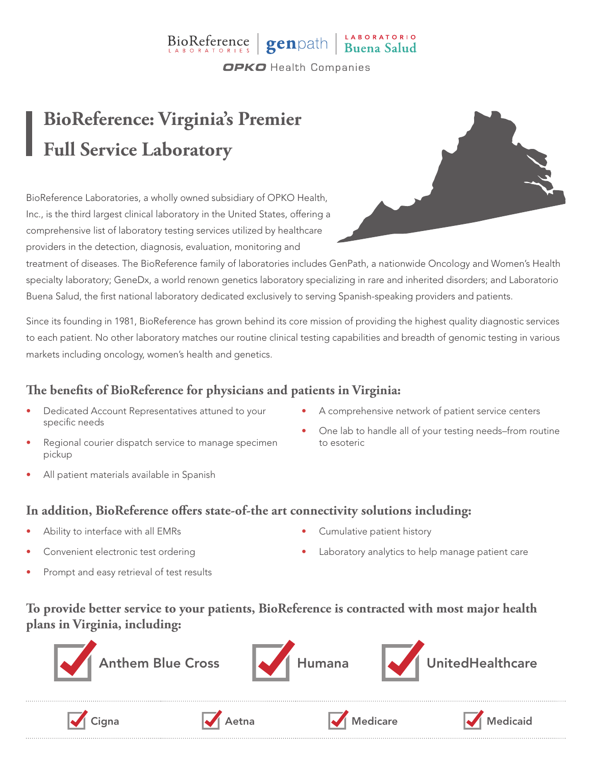### BioReference genpath Buena Salud **OPKO** Health Companies

# **BioReference: Virginia's Premier Full Service Laboratory**

BioReference Laboratories, a wholly owned subsidiary of OPKO Health, Inc., is the third largest clinical laboratory in the United States, offering a comprehensive list of laboratory testing services utilized by healthcare providers in the detection, diagnosis, evaluation, monitoring and



treatment of diseases. The BioReference family of laboratories includes GenPath, a nationwide Oncology and Women's Health specialty laboratory; GeneDx, a world renown genetics laboratory specializing in rare and inherited disorders; and Laboratorio Buena Salud, the first national laboratory dedicated exclusively to serving Spanish-speaking providers and patients.

Since its founding in 1981, BioReference has grown behind its core mission of providing the highest quality diagnostic services to each patient. No other laboratory matches our routine clinical testing capabilities and breadth of genomic testing in various markets including oncology, women's health and genetics.

### **The benefits of BioReference for physicians and patients in Virginia:**

- Dedicated Account Representatives attuned to your specific needs
- Regional courier dispatch service to manage specimen pickup
- All patient materials available in Spanish
- A comprehensive network of patient service centers
- One lab to handle all of your testing needs–from routine to esoteric

#### **In addition, BioReference offers state-of-the art connectivity solutions including:**

- Ability to interface with all EMRs
- Convenient electronic test ordering
- Prompt and easy retrieval of test results
- Cumulative patient history
- Laboratory analytics to help manage patient care

#### **To provide better service to your patients, BioReference is contracted with most major health plans in Virginia, including:**